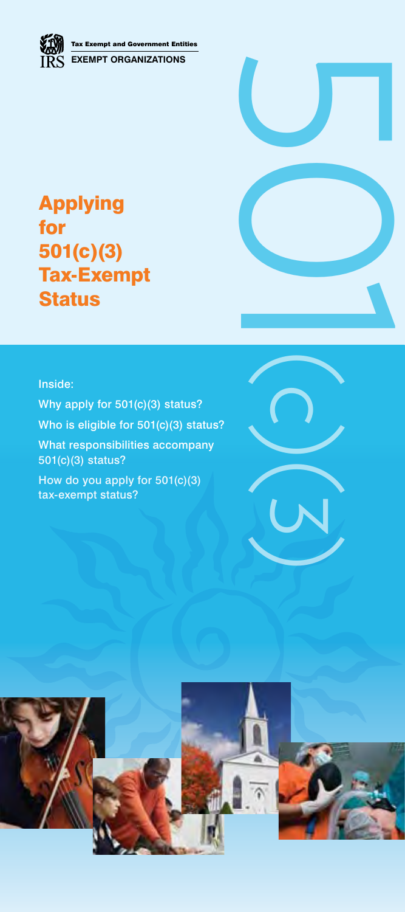

# Applying for 501(c)(3) Tax-Exempt **Status**

## Inside:

Why apply for 501(c)(3) status? Who is eligible for 501(c)(3) status? What responsibilities accompany 501(c)(3) status? How do you apply for 501(c)(3)

tax-exempt status?



501(c)(3)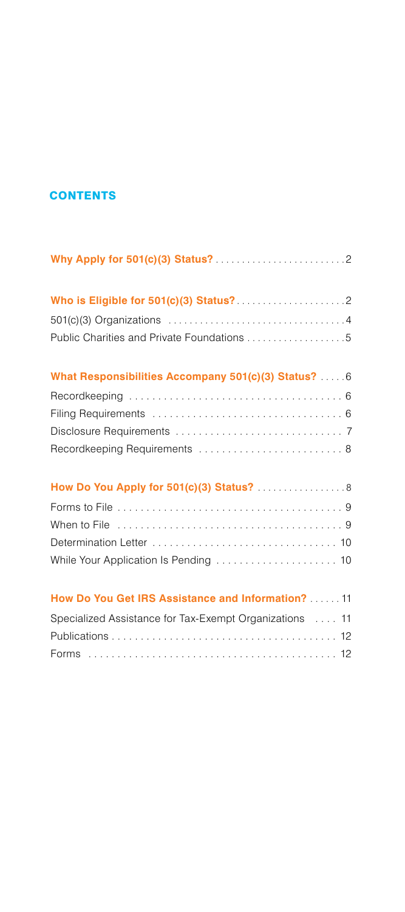# **CONTENTS**

| Public Charities and Private Foundations 5              |
|---------------------------------------------------------|
| What Responsibilities Accompany 501(c)(3) Status?  6    |
|                                                         |
|                                                         |
|                                                         |
| Recordkeeping Requirements  8                           |
| How Do You Apply for 501(c)(3) Status?  8               |
|                                                         |
|                                                         |
|                                                         |
| While Your Application Is Pending  10                   |
| How Do You Get IRS Assistance and Information?  11      |
| Specialized Assistance for Tax-Exempt Organizations  11 |
|                                                         |
|                                                         |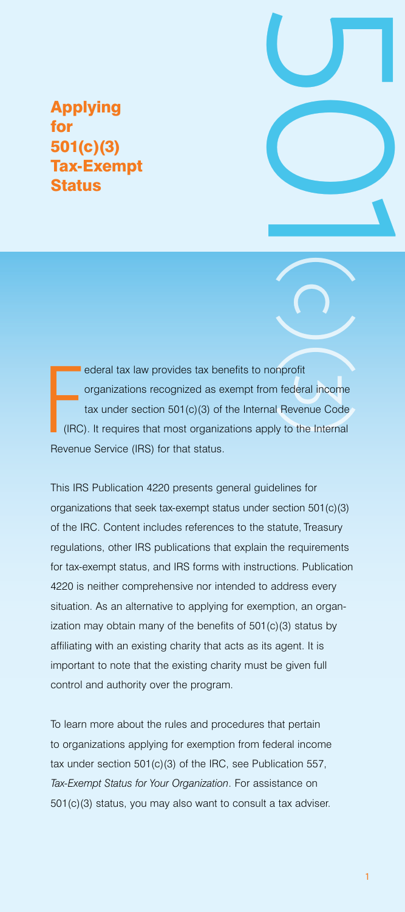# Applying for 501(c)(3) Tax-Exempt **Status**

FREEZE ederal tax law provides tax benefits to nonprofit organizations recognized as exempt from federal income tax under section 501(c)(3) of the Internal Revenue Code (IRC). It requires that most organizations apply to the Internal Revenue Service (IRS) for that status.

1 between the compared income<br>
1 501(c)(3)<br>
1 501(c)(3)<br>
1 501(c)(3)<br>
1 501(c)(3)<br>
1 501(c)(3)<br>
1 501(c)(3)<br>
1 501(c)(3)<br>
1 501(c)(3)<br>
1 501(c)(3)<br>
1 501(c)(3)<br>
1 501(c)(3)<br>
1 501(c)(3)<br>
1 501(c)(3)<br>
1 501(c)(4)<br>
1 501(c)( This IRS Publication 4220 presents general guidelines for organizations that seek tax-exempt status under section 501(c)(3) of the IRC. Content includes references to the statute, Treasury regulations, other IRS publications that explain the requirements for tax-exempt status, and IRS forms with instructions. Publication 4220 is neither comprehensive nor intended to address every situation. As an alternative to applying for exemption, an organization may obtain many of the benefits of 501(c)(3) status by affiliating with an existing charity that acts as its agent. It is important to note that the existing charity must be given full control and authority over the program.

To learn more about the rules and procedures that pertain to organizations applying for exemption from federal income tax under section 501(c)(3) of the IRC, see Publication 557, *Tax-Exempt Status for Your Organization*. For assistance on 501(c)(3) status, you may also want to consult a tax adviser.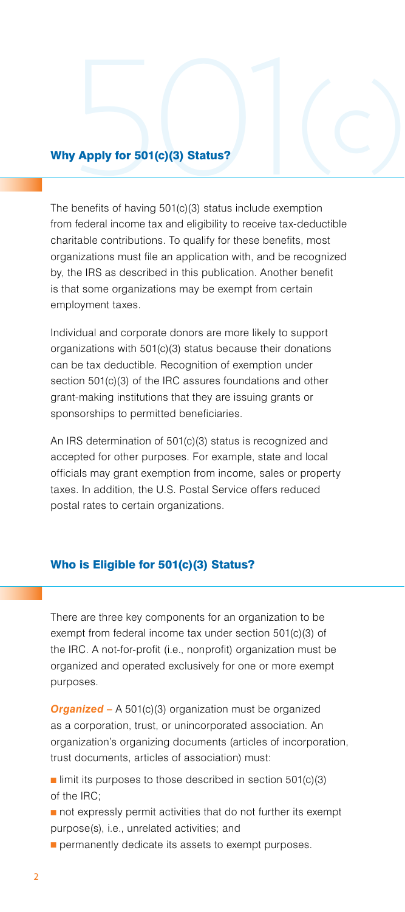# Why Apply for 501(c)(3) Status?

The benefits of having 501(c)(3) status include exemption from federal income tax and eligibility to receive tax-deductible charitable contributions. To qualify for these benefits, most organizations must file an application with, and be recognized by, the IRS as described in this publication. Another benefit is that some organizations may be exempt from certain employment taxes.

Individual and corporate donors are more likely to support organizations with 501(c)(3) status because their donations can be tax deductible. Recognition of exemption under section 501(c)(3) of the IRC assures foundations and other grant-making institutions that they are issuing grants or sponsorships to permitted beneficiaries.

An IRS determination of 501(c)(3) status is recognized and accepted for other purposes. For example, state and local officials may grant exemption from income, sales or property taxes. In addition, the U.S. Postal Service offers reduced postal rates to certain organizations.

### Who is Eligible for 501(c)(3) Status?

There are three key components for an organization to be exempt from federal income tax under section 501(c)(3) of the IRC. A not-for-profit (i.e., nonprofit) organization must be organized and operated exclusively for one or more exempt purposes.

**Organized –** A 501(c)(3) organization must be organized as a corporation, trust, or unincorporated association. An organization's organizing documents (articles of incorporation, trust documents, articles of association) must:

 $\blacksquare$  limit its purposes to those described in section 501(c)(3) of the IRC;

- $\blacksquare$  not expressly permit activities that do not further its exempt purpose(s), i.e., unrelated activities; and
- $\blacksquare$  permanently dedicate its assets to exempt purposes.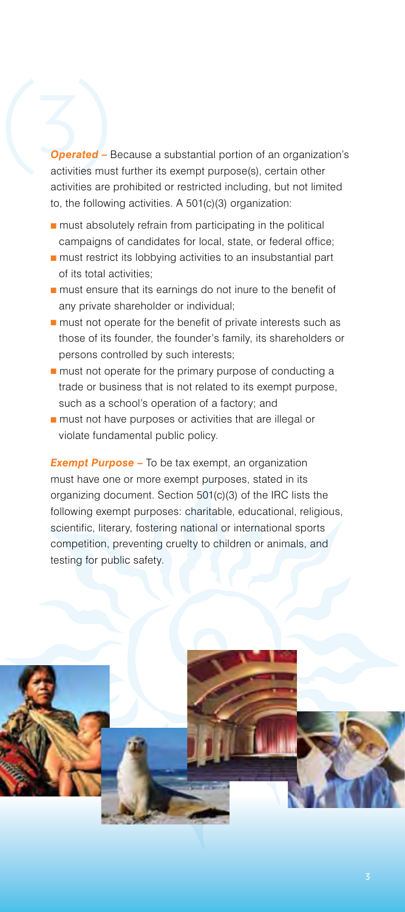Sperated - I *Operated –* Because a substantial portion of an organization's activities must further its exempt purpose(s), certain other activities are prohibited or restricted including, but not limited to, the following activities. A 501(c)(3) organization:

- $\blacksquare$  must absolutely refrain from participating in the political campaigns of candidates for local, state, or federal office;
- $\blacksquare$  must restrict its lobbying activities to an insubstantial part of its total activities;
- $\blacksquare$  must ensure that its earnings do not inure to the benefit of any private shareholder or individual;
- $\blacksquare$  must not operate for the benefit of private interests such as those of its founder, the founder's family, its shareholders or persons controlled by such interests;
- $\blacksquare$  must not operate for the primary purpose of conducting a trade or business that is not related to its exempt purpose, such as a school's operation of a factory; and
- $\blacksquare$  must not have purposes or activities that are illegal or violate fundamental public policy.

**Exempt Purpose** – To be tax exempt, an organization must have one or more exempt purposes, stated in its organizing document. Section 501(c)(3) of the IRC lists the following exempt purposes: charitable, educational, religious, scientific, literary, fostering national or international sports competition, preventing cruelty to children or animals, and testing for public safety.

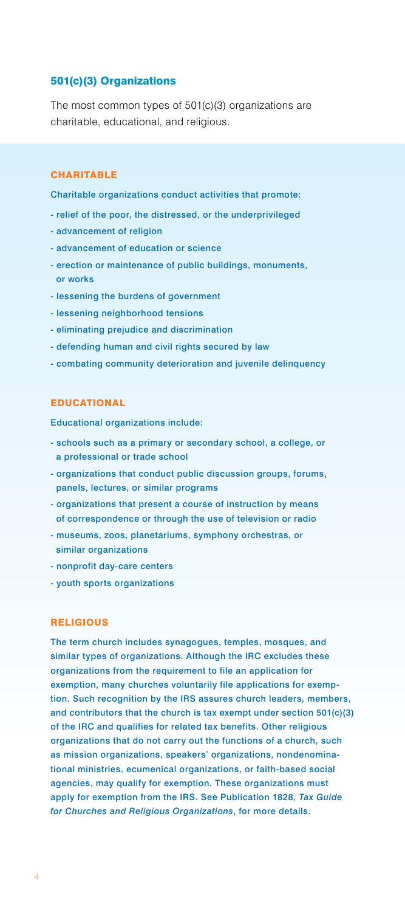### 501(c)(3) Organizations,

The most common types of 501(c)(3) organizations are charitable, educational, and religious.

### **CHARITABLE**

Charitable organizations conduct activities that promote:

- relief of the poor, the distressed, or the underprivileged,
- advancement of religion,
- advancement of education or science,
- erection or maintenance of public buildings, monuments, or works
- lessening the burdens of government
- lessening neighborhood tensions
- eliminating prejudice and discrimination,
- defending human and civil rights secured by law,
- combating community deterioration and juvenile delinquency,

### **EDUCATIONAL**

Educational organizations include:

- schools such as a primary or secondary school, a college, or a professional or trade school,
- organizations that conduct public discussion groups, forums, panels, lectures, or similar programs
- organizations that present a course of instruction by means of correspondence or through the use of television or radio,
- museums, zoos, planetariums, symphony orchestras, or similar organizations
- nonprofit day-care centers,
- youth sports organizations,

### **RELIGIOUS**

The term church includes synagogues, temples, mosques, and similar types of organizations. Although the IRC excludes these organizations from the requirement to file an application for exemption, many churches voluntarily file applications for exemption. Such recognition by the IRS assures church leaders, members, and contributors that the church is tax exempt under section 501(c)(3) of the IRC and qualifies for related tax benefits. Other religious organizations that do not carry out the functions of a church, such as mission organizations, speakers' organizations, nondenominational ministries, ecumenical organizations, or faith-based social agencies, may qualify for exemption. These organizations must apply for exemption from the IRS. See Publication 1828, *Tax Guide for Churches and Religious Organizations*, for more details.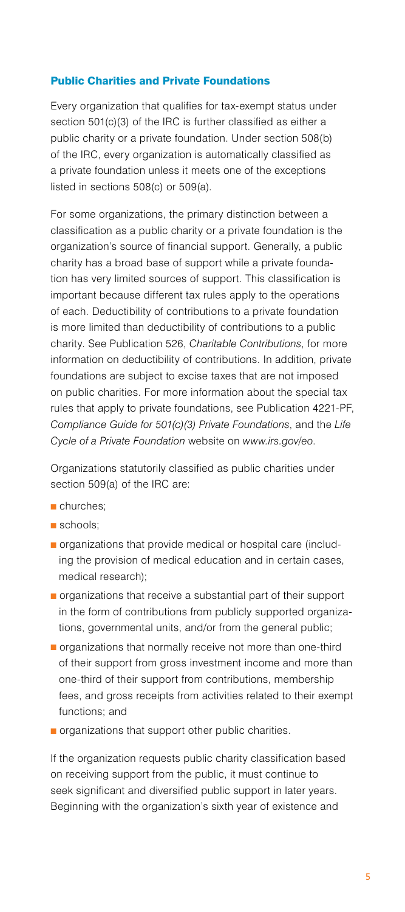### Public Charities and Private Foundations,

Every organization that qualifies for tax-exempt status under section 501(c)(3) of the IRC is further classified as either a public charity or a private foundation. Under section 508(b) of the IRC, every organization is automatically classified as a private foundation unless it meets one of the exceptions listed in sections 508(c) or 509(a).

For some organizations, the primary distinction between a classification as a public charity or a private foundation is the organization's source of financial support. Generally, a public charity has a broad base of support while a private foundation has very limited sources of support. This classification is important because different tax rules apply to the operations of each. Deductibility of contributions to a private foundation is more limited than deductibility of contributions to a public charity. See Publication 526, *Charitable Contributions*, for more information on deductibility of contributions. In addition, private foundations are subject to excise taxes that are not imposed on public charities. For more information about the special tax rules that apply to private foundations, see Publication 4221-PF, *Compliance Guide for 501(c)(3) Private Foundations*, and the *Life Cycle of a Private Foundation* website on *[www.irs.gov/eo](http://www.irs.gov/eo)*.

Organizations statutorily classified as public charities under section 509(a) of the IRC are:

- churches;
- $\blacksquare$  schools:
- **n** organizations that provide medical or hospital care (including the provision of medical education and in certain cases, medical research);
- $\blacksquare$  organizations that receive a substantial part of their support in the form of contributions from publicly supported organizations, governmental units, and/or from the general public;
- $\blacksquare$  organizations that normally receive not more than one-third of their support from gross investment income and more than one-third of their support from contributions, membership fees, and gross receipts from activities related to their exempt functions; and
- $\blacksquare$  organizations that support other public charities.

If the organization requests public charity classification based on receiving support from the public, it must continue to seek significant and diversified public support in later years. Beginning with the organization's sixth year of existence and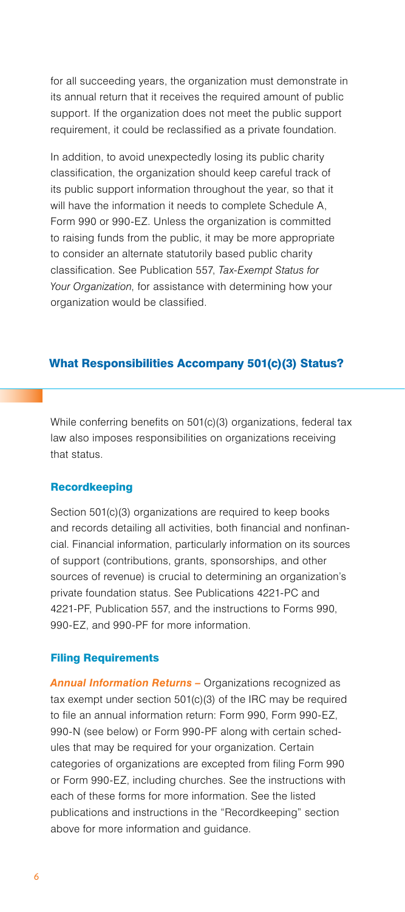for all succeeding years, the organization must demonstrate in its annual return that it receives the required amount of public support. If the organization does not meet the public support requirement, it could be reclassified as a private foundation.

In addition, to avoid unexpectedly losing its public charity classification, the organization should keep careful track of its public support information throughout the year, so that it will have the information it needs to complete Schedule A, Form 990 or 990-EZ. Unless the organization is committed to raising funds from the public, it may be more appropriate to consider an alternate statutorily based public charity classification. See Publication 557, *Tax-Exempt Status for Your Organization*, for assistance with determining how your organization would be classified.

### What Responsibilities Accompany 501(c)(3) Status?

While conferring benefits on 501(c)(3) organizations, federal tax law also imposes responsibilities on organizations receiving that status.

### **Recordkeeping**

Section 501(c)(3) organizations are required to keep books and records detailing all activities, both financial and nonfinancial. Financial information, particularly information on its sources of support (contributions, grants, sponsorships, and other sources of revenue) is crucial to determining an organization's private foundation status. See Publications 4221-PC and 4221-PF, Publication 557, and the instructions to Forms 990, 990-EZ, and 990-PF for more information.

### Filing Requirements,

*Annual Information Returns –* Organizations recognized as tax exempt under section 501(c)(3) of the IRC may be required to file an annual information return: Form 990, Form 990-EZ, 990-N (see below) or Form 990-PF along with certain schedules that may be required for your organization. Certain categories of organizations are excepted from filing Form 990 or Form 990-EZ, including churches. See the instructions with each of these forms for more information. See the listed publications and instructions in the "Recordkeeping" section above for more information and guidance.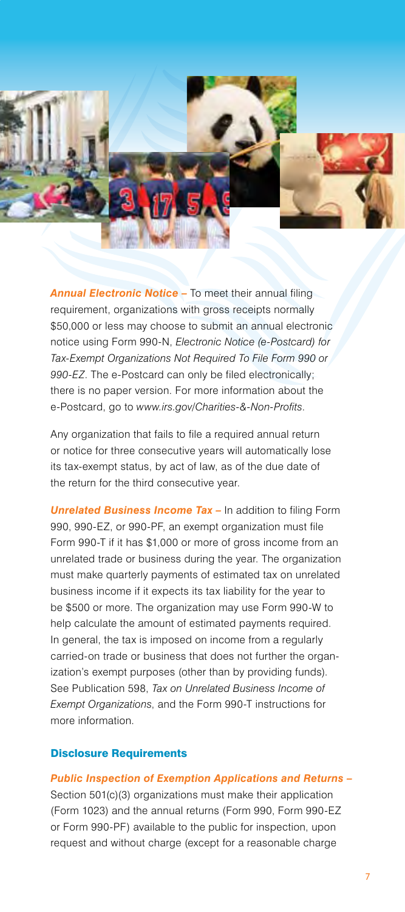

*Annual Electronic Notice –* To meet their annual filing requirement, organizations with gross receipts normally \$50,000 or less may choose to submit an annual electronic notice using Form 990-N, *Electronic Notice (e-Postcard) for Tax-Exempt Organizations Not Required To File Form 990 or 990-EZ*. The e-Postcard can only be filed electronically; there is no paper version. For more information about the e-Postcard, go to *[www.irs.gov/Charities-&-Non-Profits](http://www.irs.gov/Charities-&-Non-Profits)*.

Any organization that fails to file a required annual return or notice for three consecutive years will automatically lose its tax-exempt status, by act of law, as of the due date of the return for the third consecutive year.

**Unrelated Business Income Tax - In addition to filing Form** 990, 990-EZ, or 990-PF, an exempt organization must file Form 990-T if it has \$1,000 or more of gross income from an unrelated trade or business during the year. The organization must make quarterly payments of estimated tax on unrelated business income if it expects its tax liability for the year to be \$500 or more. The organization may use Form 990-W to help calculate the amount of estimated payments required. In general, the tax is imposed on income from a regularly carried-on trade or business that does not further the organization's exempt purposes (other than by providing funds). See Publication 598, *Tax on Unrelated Business Income of Exempt Organizations*, and the Form 990-T instructions for more information.

### Disclosure Requirements,

*Public Inspection of Exemption Applications and Returns –* Section 501(c)(3) organizations must make their application

(Form 1023) and the annual returns (Form 990, Form 990-EZ or Form 990-PF) available to the public for inspection, upon request and without charge (except for a reasonable charge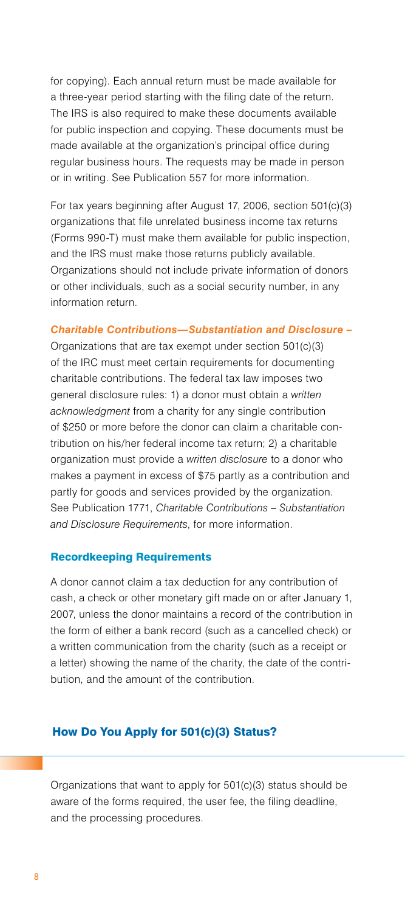for copying). Each annual return must be made available for a three-year period starting with the filing date of the return. The IRS is also required to make these documents available for public inspection and copying. These documents must be made available at the organization's principal office during regular business hours. The requests may be made in person or in writing. See Publication 557 for more information.

For tax years beginning after August 17, 2006, section 501(c)(3) organizations that file unrelated business income tax returns (Forms 990-T) must make them available for public inspection, and the IRS must make those returns publicly available. Organizations should not include private information of donors or other individuals, such as a social security number, in any information return.

### *Charitable Contributions—Substantiation and Disclosure –*

Organizations that are tax exempt under section 501(c)(3) of the IRC must meet certain requirements for documenting charitable contributions. The federal tax law imposes two general disclosure rules: 1) a donor must obtain a *written acknowledgment* from a charity for any single contribution of \$250 or more before the donor can claim a charitable contribution on his/her federal income tax return; 2) a charitable organization must provide a *written disclosure* to a donor who makes a payment in excess of \$75 partly as a contribution and partly for goods and services provided by the organization. See Publication 1771, *Charitable Contributions – Substantiation and Disclosure Requirements*, for more information.

### Recordkeeping Requirements,

A donor cannot claim a tax deduction for any contribution of cash, a check or other monetary gift made on or after January 1, 2007, unless the donor maintains a record of the contribution in the form of either a bank record (such as a cancelled check) or a written communication from the charity (such as a receipt or a letter) showing the name of the charity, the date of the contribution, and the amount of the contribution.

### How Do You Apply for 501(c)(3) Status?

Organizations that want to apply for 501(c)(3) status should be aware of the forms required, the user fee, the filing deadline, and the processing procedures.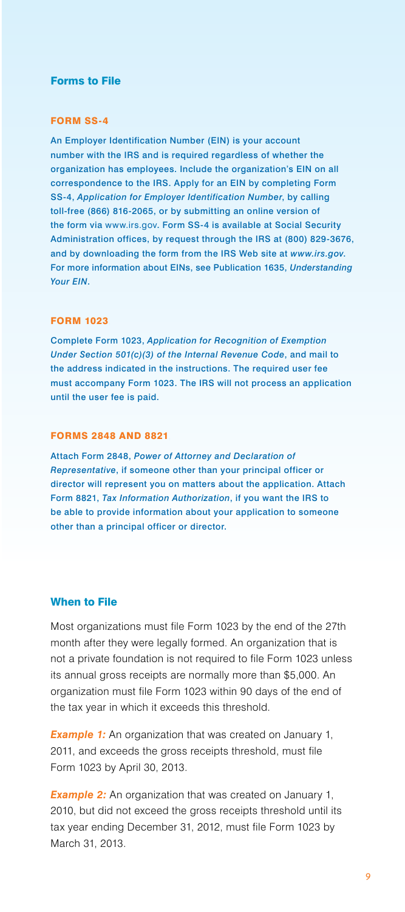### Forms to File,

### FORM SS-4,

An Employer Identification Number (EIN) is your account number with the IRS and is required regardless of whether the organization has employees. Include the organization's EIN on all correspondence to the IRS. Apply for an EIN by completing Form SS-4, *Application for Employer Identification Number*, by calling toll-free (866) 816-2065, or by submitting an online version of the form via <www.irs.gov>. Form SS-4 is available at Social Security Administration offices, by request through the IRS at (800) 829-3676, and by downloading the form from the IRS Web site at *<www.irs.gov>*. For more information about EINs, see Publication 1635, *Understanding Your EIN*.

### FORM 1023,

Complete Form 1023, *Application for Recognition of Exemption Under Section 501(c)(3) of the Internal Revenue Code*, and mail to the address indicated in the instructions. The required user fee must accompany Form 1023. The IRS will not process an application until the user fee is paid.

### FORMS 2848 AND 8821,

Attach Form 2848, *Power of Attorney and Declaration of Representative*, if someone other than your principal officer or director will represent you on matters about the application. Attach Form 8821, *Tax Information Authorization*, if you want the IRS to be able to provide information about your application to someone other than a principal officer or director.

### When to File,

Most organizations must file Form 1023 by the end of the 27th month after they were legally formed. An organization that is not a private foundation is not required to file Form 1023 unless its annual gross receipts are normally more than \$5,000. An organization must file Form 1023 within 90 days of the end of the tax year in which it exceeds this threshold.

**Example 1:** An organization that was created on January 1, 2011, and exceeds the gross receipts threshold, must file Form 1023 by April 30, 2013.

**Example 2:** An organization that was created on January 1, 2010, but did not exceed the gross receipts threshold until its tax year ending December 31, 2012, must file Form 1023 by March 31, 2013.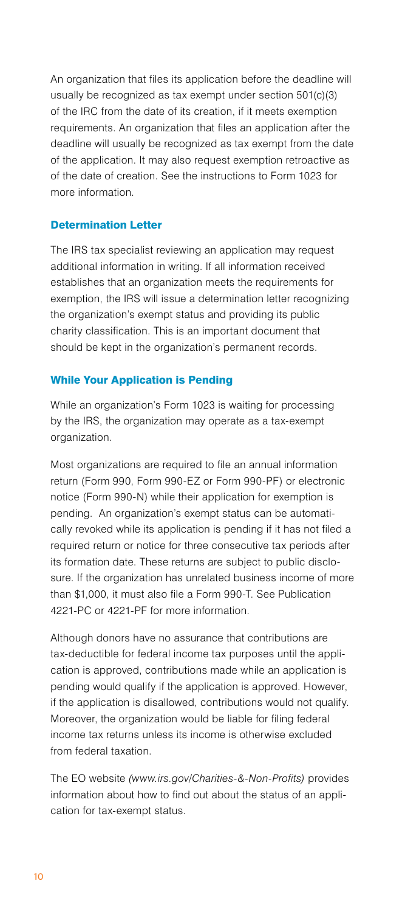An organization that files its application before the deadline will usually be recognized as tax exempt under section 501(c)(3) of the IRC from the date of its creation, if it meets exemption requirements. An organization that files an application after the deadline will usually be recognized as tax exempt from the date of the application. It may also request exemption retroactive as of the date of creation. See the instructions to Form 1023 for more information.

### Determination Letter,

The IRS tax specialist reviewing an application may request additional information in writing. If all information received establishes that an organization meets the requirements for exemption, the IRS will issue a determination letter recognizing the organization's exempt status and providing its public charity classification. This is an important document that should be kept in the organization's permanent records.

### While Your Application is Pending,

While an organization's Form 1023 is waiting for processing by the IRS, the organization may operate as a tax-exempt organization.

Most organizations are required to file an annual information return (Form 990, Form 990-EZ or Form 990-PF) or electronic notice (Form 990-N) while their application for exemption is pending. An organization's exempt status can be automatically revoked while its application is pending if it has not filed a required return or notice for three consecutive tax periods after its formation date. These returns are subject to public disclosure. If the organization has unrelated business income of more than \$1,000, it must also file a Form 990-T. See Publication 4221-PC or 4221-PF for more information.

Although donors have no assurance that contributions are tax-deductible for federal income tax purposes until the application is approved, contributions made while an application is pending would qualify if the application is approved. However, if the application is disallowed, contributions would not qualify. Moreover, the organization would be liable for filing federal income tax returns unless its income is otherwise excluded from federal taxation.

The EO website *([www.irs.gov/Charities-&-Non-Profits](http://www.irs.gov/Charities-&-Non-Profits))* provides information about how to find out about the status of an application for tax-exempt status.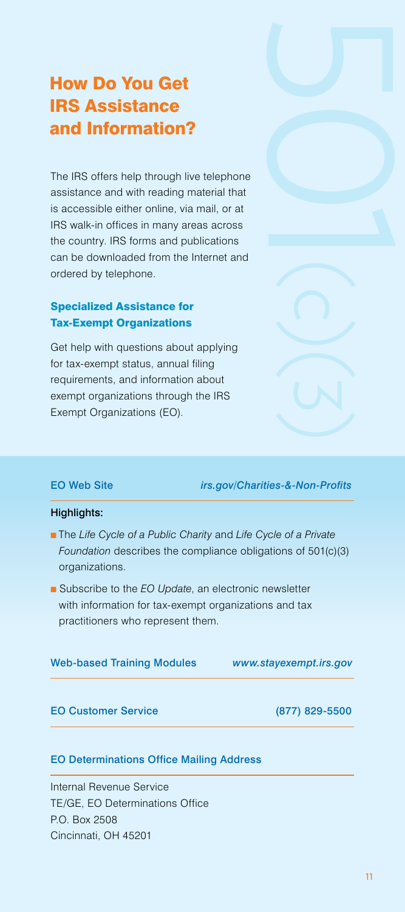# How Do You Get IRS Assistance and Information?

The IRS offers help through live telephone assistance and with reading material that is accessible either online, via mail, or at IRS walk-in offices in many areas across the country. IRS forms and publications can be downloaded from the Internet and ordered by telephone.

### Specialized Assistance for Tax-Exempt Organizations,

Get help with questions about applying for tax-exempt status, annual filing requirements, and information about exempt organizations through the IRS Exempt Organizations (EO).

### EO Web Site, *[irs.gov/Charities-&-Non-Profits](http://irs.gov/Charities-&-Non-Profits)*,

### Highlights:

- n The *Life Cycle of a Public Charity* and *Life Cycle of a Private Foundation* describes the compliance obligations of 501(c)(3) organizations.
- Subscribe to the *EO Update*, an electronic newsletter with information for tax-exempt organizations and tax practitioners who represent them.

| <b>Web-based Training Modules</b> | www.stayexempt.irs.gov |
|-----------------------------------|------------------------|
|                                   |                        |

### EO Customer Service (877) 829-5500

### **EO Determinations Office Mailing Address**

Internal Revenue Service, TE/GE, EO Determinations Office, P.O. Box 2508, Cincinnati, OH 45201,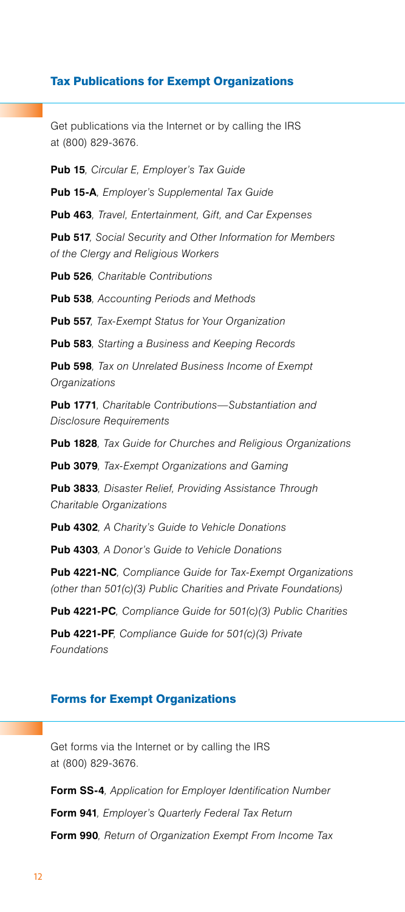### Tax Publications for Exempt Organizations,

Get publications via the Internet or by calling the IRS at (800) 829-3676.

**Pub 15***, Circular E, Employer's Tax Guide*,

**Pub 15-A***, Employer's Supplemental Tax Guide*,

**Pub 463***, Travel, Entertainment, Gift, and Car Expenses*,

**Pub 517***, Social Security and Other Information for Members of the Clergy and Religious Workers*,

**Pub 526***, Charitable Contributions*,

**Pub 538***, Accounting Periods and Methods*,

**Pub 557***, Tax-Exempt Status for Your Organization*,

**Pub 583***, Starting a Business and Keeping Records*,

**Pub 598***, Tax on Unrelated Business Income of Exempt Organizations*,

**Pub 1771***, Charitable Contributions—Substantiation and Disclosure Requirements*,

**Pub 1828***, Tax Guide for Churches and Religious Organizations*,

**Pub 3079***, Tax-Exempt Organizations and Gaming*,

**Pub 3833***, Disaster Relief, Providing Assistance Through Charitable Organizations*,

**Pub 4302***, A Charity's Guide to Vehicle Donations*,

**Pub 4303***, A Donor's Guide to Vehicle Donations*,

**Pub 4221-NC***, Compliance Guide for Tax-Exempt Organizations (other than 501(c)(3) Public Charities and Private Foundations)*,

**Pub 4221-PC***, Compliance Guide for 501(c)(3) Public Charities*,

**Pub 4221-PF***, Compliance Guide for 501(c)(3) Private Foundations*,

### Forms for Exempt Organizations,

Get forms via the Internet or by calling the IRS at (800) 829-3676.

**Form SS-4***, Application for Employer Identification Number*, **Form 941***, Employer's Quarterly Federal Tax Return*, **Form 990***, Return of Organization Exempt From Income Tax*,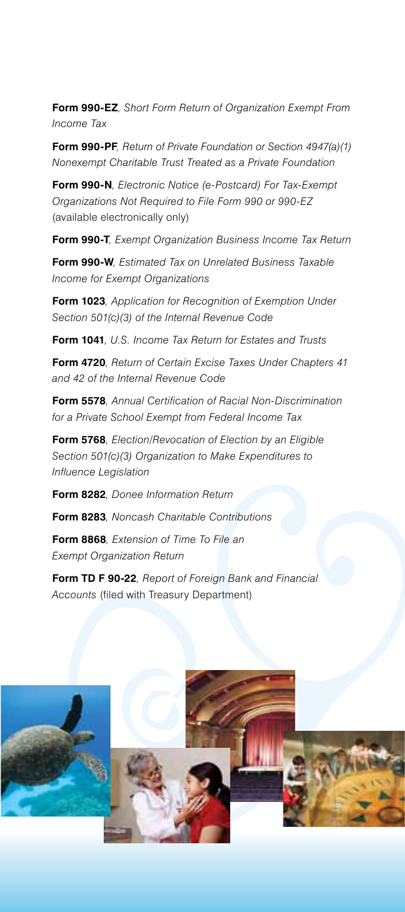**Form 990-EZ***, Short Form Return of Organization Exempt From Income Tax*,

**Form 990-PF***, Return of Private Foundation or Section 4947(a)(1) Nonexempt Charitable Trust Treated as a Private Foundation*,

**Form 990-N***, Electronic Notice (e-Postcard) For Tax-Exempt Organizations Not Required to File Form 990 or 990-EZ*  (available electronically only),

**Form 990-T***, Exempt Organization Business Income Tax Return*,

**Form 990-W***, Estimated Tax on Unrelated Business Taxable Income for Exempt Organizations*,

**Form 1023***, Application for Recognition of Exemption Under Section 501(c)(3) of the Internal Revenue Code*,

**Form 1041***, U.S. Income Tax Return for Estates and Trusts*,

**Form 4720***, Return of Certain Excise Taxes Under Chapters 41 and 42 of the Internal Revenue Code*,

**Form 5578***, Annual Certification of Racial Non-Discrimination for a Private School Exempt from Federal Income Tax*,

**Form 5768***, Election/Revocation of Election by an Eligible Section 501(c)(3) Organization to Make Expenditures to Influence Legislation*,

**Form 8282***, Donee Information Return*,

**Form 8283***, Noncash Charitable Contributions*,

**Form 8868***, Extension of Time To File an Exempt Organization Return*,

**Form TD F 90-22***, Report of Foreign Bank and Financial Accounts* (filed with Treasury Department),